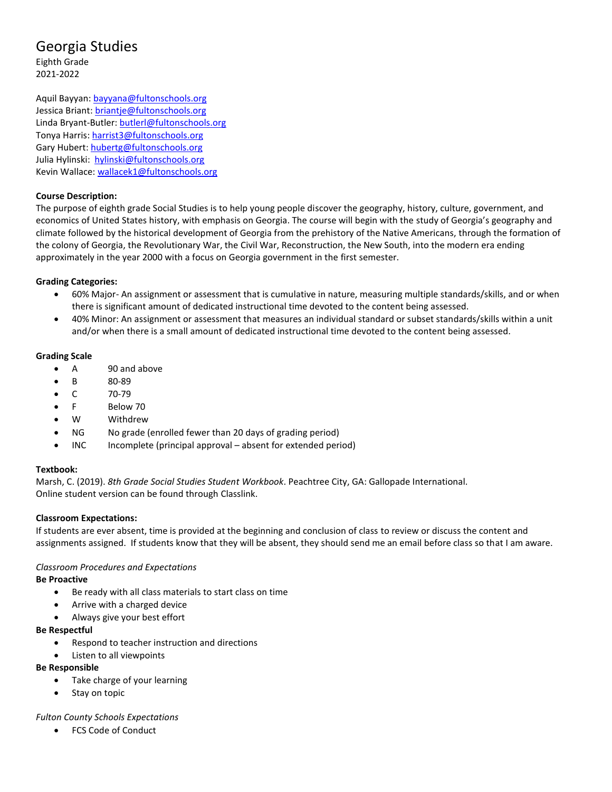# Georgia Studies

Eighth Grade 2021-2022

Aquil Bayyan: [bayyana@fultonschools.org](mailto:bayyana@fultonschools.org) Jessica Briant: [briantje@fultonschools.org](mailto:briantje@fultonschools.org) Linda Bryant-Butler: [butlerl@fultonschools.org](mailto:butlerl@fultonschools.org) Tonya Harris: [harrist3@fultonschools.org](mailto:harrist3@fultonschools.org) Gary Hubert: [hubertg@fultonschools.org](mailto:hubertg@fultonschools.org) Julia Hylinski: [hylinski@fultonschools.org](mailto:hylinski@fultonschools.org) Kevin Wallace: [wallacek1@fultonschools.org](mailto:wallacek1@fultonschools.org)

# **Course Description:**

The purpose of eighth grade Social Studies is to help young people discover the geography, history, culture, government, and economics of United States history, with emphasis on Georgia. The course will begin with the study of Georgia's geography and climate followed by the historical development of Georgia from the prehistory of the Native Americans, through the formation of the colony of Georgia, the Revolutionary War, the Civil War, Reconstruction, the New South, into the modern era ending approximately in the year 2000 with a focus on Georgia government in the first semester.

# **Grading Categories:**

- 60% Major- An assignment or assessment that is cumulative in nature, measuring multiple standards/skills, and or when there is significant amount of dedicated instructional time devoted to the content being assessed.
- 40% Minor: An assignment or assessment that measures an individual standard or subset standards/skills within a unit and/or when there is a small amount of dedicated instructional time devoted to the content being assessed.

# **Grading Scale**

- A 90 and above
- B 80-89
- C 70-79
- F Below 70
- W Withdrew
- NG No grade (enrolled fewer than 20 days of grading period)
- INC Incomplete (principal approval absent for extended period)

## **Textbook:**

Marsh, C. (2019). *8th Grade Social Studies Student Workbook*. Peachtree City, GA: Gallopade International. Online student version can be found through Classlink.

## **Classroom Expectations:**

If students are ever absent, time is provided at the beginning and conclusion of class to review or discuss the content and assignments assigned. If students know that they will be absent, they should send me an email before class so that I am aware.

# *Classroom Procedures and Expectations*

**Be Proactive**

- Be ready with all class materials to start class on time
- Arrive with a charged device
- Always give your best effort

## **Be Respectful**

- Respond to teacher instruction and directions
- Listen to all viewpoints

## **Be Responsible**

- Take charge of your learning
- Stay on topic

## *Fulton County Schools Expectations*

• FCS Code of Conduct